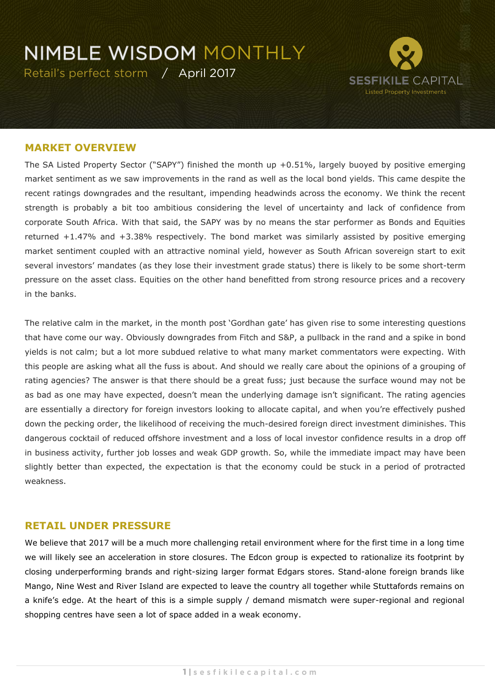## **NIMBLE WISDOM MONTHLY**

Retail's perfect storm / April 2017



#### **MARKET OVERVIEW**

The SA Listed Property Sector ("SAPY") finished the month up +0.51%, largely buoyed by positive emerging market sentiment as we saw improvements in the rand as well as the local bond yields. This came despite the recent ratings downgrades and the resultant, impending headwinds across the economy. We think the recent strength is probably a bit too ambitious considering the level of uncertainty and lack of confidence from corporate South Africa. With that said, the SAPY was by no means the star performer as Bonds and Equities returned +1.47% and +3.38% respectively. The bond market was similarly assisted by positive emerging market sentiment coupled with an attractive nominal yield, however as South African sovereign start to exit several investors' mandates (as they lose their investment grade status) there is likely to be some short-term pressure on the asset class. Equities on the other hand benefitted from strong resource prices and a recovery in the banks.

The relative calm in the market, in the month post 'Gordhan gate' has given rise to some interesting questions that have come our way. Obviously downgrades from Fitch and S&P, a pullback in the rand and a spike in bond yields is not calm; but a lot more subdued relative to what many market commentators were expecting. With this people are asking what all the fuss is about. And should we really care about the opinions of a grouping of rating agencies? The answer is that there should be a great fuss; just because the surface wound may not be as bad as one may have expected, doesn't mean the underlying damage isn't significant. The rating agencies are essentially a directory for foreign investors looking to allocate capital, and when you're effectively pushed down the pecking order, the likelihood of receiving the much-desired foreign direct investment diminishes. This dangerous cocktail of reduced offshore investment and a loss of local investor confidence results in a drop off in business activity, further job losses and weak GDP growth. So, while the immediate impact may have been slightly better than expected, the expectation is that the economy could be stuck in a period of protracted weakness.

### **RETAIL UNDER PRESSURE**

We believe that 2017 will be a much more challenging retail environment where for the first time in a long time we will likely see an acceleration in store closures. The Edcon group is expected to rationalize its footprint by closing underperforming brands and right-sizing larger format Edgars stores. Stand-alone foreign brands like Mango, Nine West and River Island are expected to leave the country all together while Stuttafords remains on a knife's edge. At the heart of this is a simple supply / demand mismatch were super-regional and regional shopping centres have seen a lot of space added in a weak economy.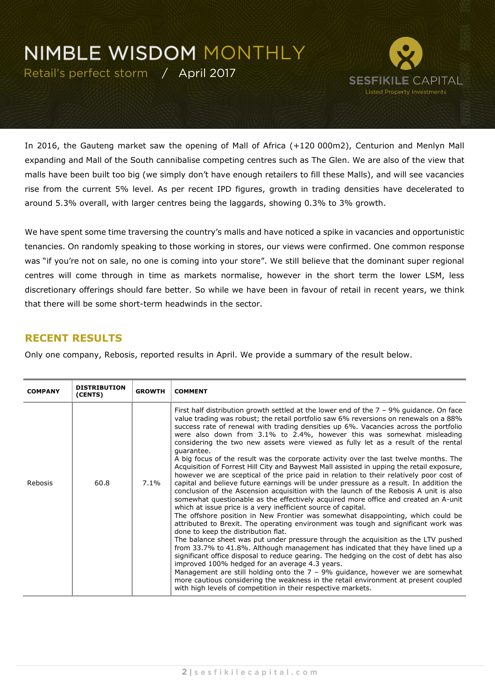## **NIMBLE WISDOM MONTHLY**

Retail's perfect storm / April 2017



In 2016, the Gauteng market saw the opening of Mall of Africa (+120 000m2), Centurion and Menlyn Mall expanding and Mall of the South cannibalise competing centres such as The Glen. We are also of the view that malls have been built too big (we simply don't have enough retailers to fill these Malls), and will see vacancies rise from the current 5% level. As per recent IPD figures, growth in trading densities have decelerated to around 5.3% overall, with larger centres being the laggards, showing 0.3% to 3% growth.

We have spent some time traversing the country's malls and have noticed a spike in vacancies and opportunistic tenancies. On randomly speaking to those working in stores, our views were confirmed. One common response was "if you're not on sale, no one is coming into your store". We still believe that the dominant super regional centres will come through in time as markets normalise, however in the short term the lower LSM, less discretionary offerings should fare better. So while we have been in favour of retail in recent years, we think that there will be some short-term headwinds in the sector.

### **RECENT RESULTS**

Only one company, Rebosis, reported results in April. We provide a summary of the result below.

| <b>COMPANY</b> | <b>DISTRIBUTION</b><br>(CENTS) | <b>GROWTH</b> | <b>COMMENT</b>                                                                                                                                                                                                                                                                                                                                                                                                                                                                                                                                                                                                                                                                                                                                                                                                                                                                                                                                                                                                                                                                                                                                                                                                                                                                                                                                                                                                                                                                                                                                                                                                                                                                                                                                                                                                                                                          |
|----------------|--------------------------------|---------------|-------------------------------------------------------------------------------------------------------------------------------------------------------------------------------------------------------------------------------------------------------------------------------------------------------------------------------------------------------------------------------------------------------------------------------------------------------------------------------------------------------------------------------------------------------------------------------------------------------------------------------------------------------------------------------------------------------------------------------------------------------------------------------------------------------------------------------------------------------------------------------------------------------------------------------------------------------------------------------------------------------------------------------------------------------------------------------------------------------------------------------------------------------------------------------------------------------------------------------------------------------------------------------------------------------------------------------------------------------------------------------------------------------------------------------------------------------------------------------------------------------------------------------------------------------------------------------------------------------------------------------------------------------------------------------------------------------------------------------------------------------------------------------------------------------------------------------------------------------------------------|
| Rebosis        | 60.8                           | $7.1\%$       | First half distribution growth settled at the lower end of the $7 - 9%$ quidance. On face<br>value trading was robust; the retail portfolio saw 6% reversions on renewals on a 88%<br>success rate of renewal with trading densities up 6%. Vacancies across the portfolio<br>were also down from 3.1% to 2.4%, however this was somewhat misleading<br>considering the two new assets were viewed as fully let as a result of the rental<br>quarantee.<br>A big focus of the result was the corporate activity over the last twelve months. The<br>Acquisition of Forrest Hill City and Baywest Mall assisted in upping the retail exposure,<br>however we are sceptical of the price paid in relation to their relatively poor cost of<br>capital and believe future earnings will be under pressure as a result. In addition the<br>conclusion of the Ascension acquisition with the launch of the Rebosis A unit is also<br>somewhat questionable as the effectively acquired more office and created an A-unit<br>which at issue price is a very inefficient source of capital.<br>The offshore position in New Frontier was somewhat disappointing, which could be<br>attributed to Brexit. The operating environment was tough and significant work was<br>done to keep the distribution flat.<br>The balance sheet was put under pressure through the acquisition as the LTV pushed<br>from 33.7% to 41.8%. Although management has indicated that they have lined up a<br>significant office disposal to reduce gearing. The hedging on the cost of debt has also<br>improved 100% hedged for an average 4.3 years.<br>Management are still holding onto the $7 - 9%$ guidance, however we are somewhat<br>more cautious considering the weakness in the retail environment at present coupled<br>with high levels of competition in their respective markets. |